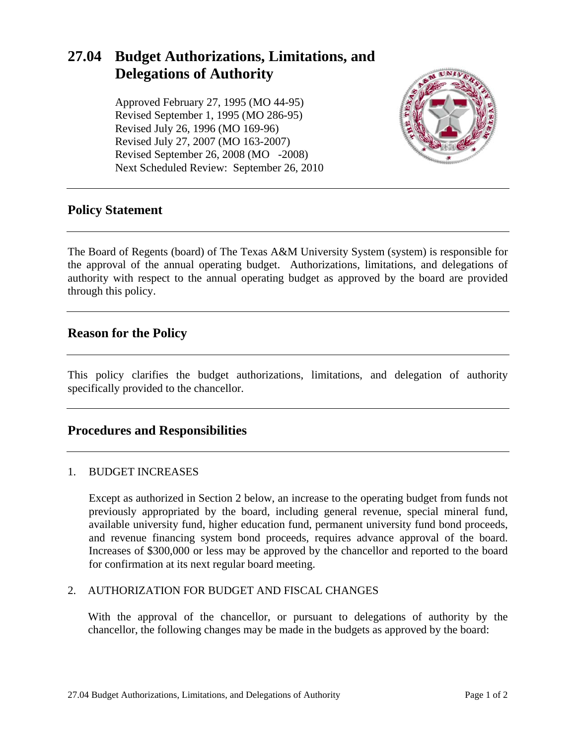# **27.04 Budget Authorizations, Limitations, and Delegations of Authority**

Approved February 27, 1995 (MO 44-95) Revised September 1, 1995 (MO 286-95) Revised July 26, 1996 (MO 169-96) Revised July 27, 2007 (MO 163-2007) Revised September 26, 2008 (MO -2008) Next Scheduled Review: September 26, 2010



# **Policy Statement**

The Board of Regents (board) of The Texas A&M University System (system) is responsible for the approval of the annual operating budget. Authorizations, limitations, and delegations of authority with respect to the annual operating budget as approved by the board are provided through this policy.

# **Reason for the Policy**

This policy clarifies the budget authorizations, limitations, and delegation of authority specifically provided to the chancellor.

# **Procedures and Responsibilities**

#### 1. BUDGET INCREASES

Except as authorized in Section 2 below, an increase to the operating budget from funds not previously appropriated by the board, including general revenue, special mineral fund, available university fund, higher education fund, permanent university fund bond proceeds, and revenue financing system bond proceeds, requires advance approval of the board. Increases of \$300,000 or less may be approved by the chancellor and reported to the board for confirmation at its next regular board meeting.

#### 2. AUTHORIZATION FOR BUDGET AND FISCAL CHANGES

With the approval of the chancellor, or pursuant to delegations of authority by the chancellor, the following changes may be made in the budgets as approved by the board: